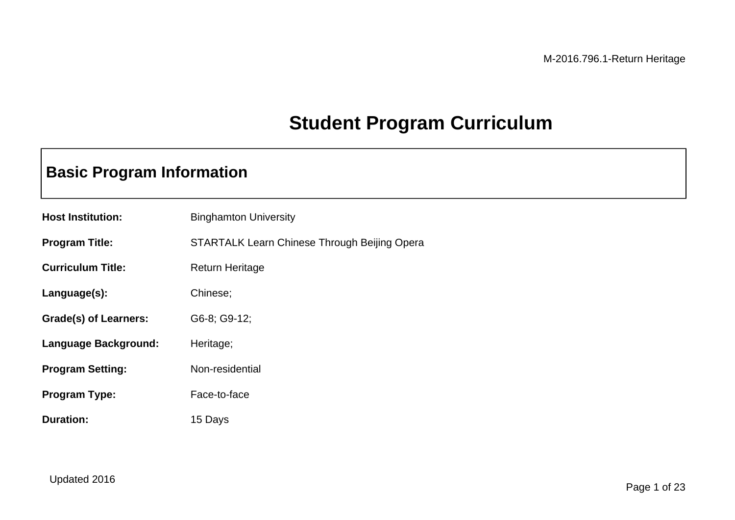# **Student Program Curriculum**

## **Basic Program Information**

| <b>Host Institution:</b> | <b>Binghamton University</b>                        |
|--------------------------|-----------------------------------------------------|
| <b>Program Title:</b>    | <b>STARTALK Learn Chinese Through Beijing Opera</b> |
| <b>Curriculum Title:</b> | <b>Return Heritage</b>                              |
| Language(s):             | Chinese;                                            |
| Grade(s) of Learners:    | G6-8; G9-12;                                        |
| Language Background:     | Heritage;                                           |
| <b>Program Setting:</b>  | Non-residential                                     |
| <b>Program Type:</b>     | Face-to-face                                        |
| <b>Duration:</b>         | 15 Days                                             |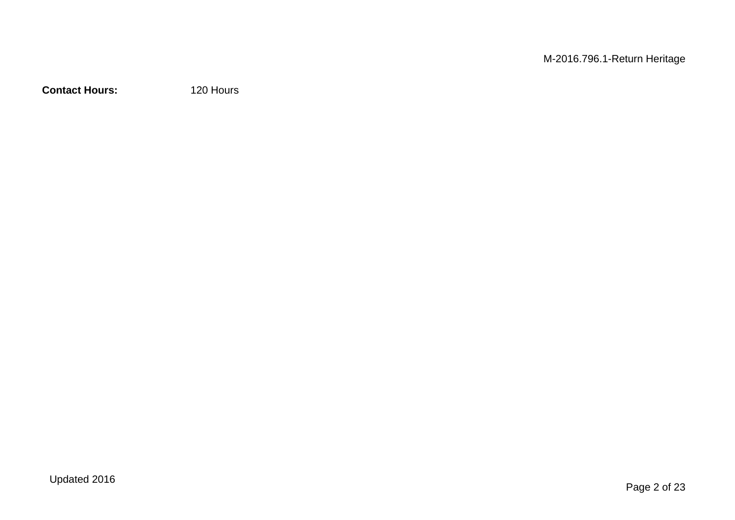M-2016.796.1-Return Heritage

**Contact Hours:** 120 Hours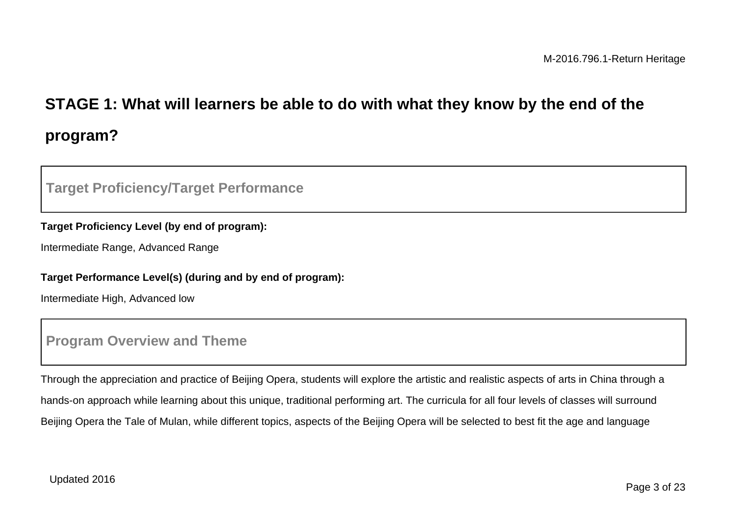# **STAGE 1: What will learners be able to do with what they know by the end of the program?**

### **Target Proficiency/Target Performance**

### **Target Proficiency Level (by end of program):**

Intermediate Range, Advanced Range

#### **Target Performance Level(s) (during and by end of program):**

Intermediate High, Advanced low

### **Program Overview and Theme**

Through the appreciation and practice of Beijing Opera, students will explore the artistic and realistic aspects of arts in China through a hands-on approach while learning about this unique, traditional performing art. The curricula for all four levels of classes will surround Beijing Opera the Tale of Mulan, while different topics, aspects of the Beijing Opera will be selected to best fit the age and language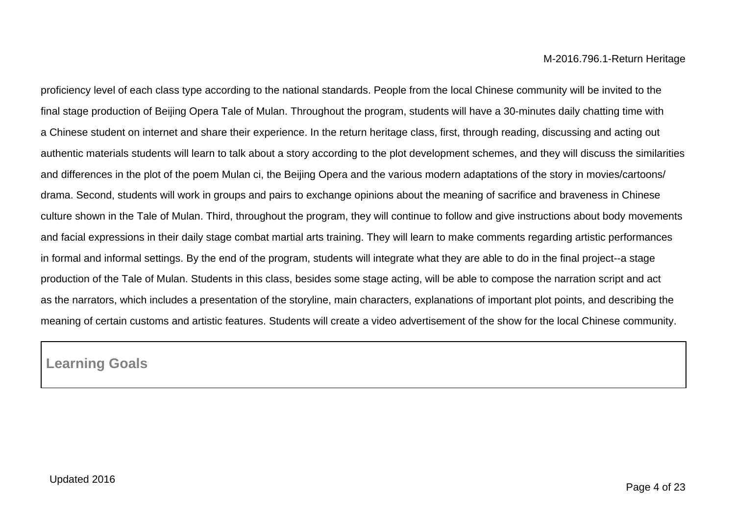proficiency level of each class type according to the national standards. People from the local Chinese community will be invited to the final stage production of Beijing Opera Tale of Mulan. Throughout the program, students will have a 30-minutes daily chatting time with a Chinese student on internet and share their experience. In the return heritage class, first, through reading, discussing and acting out authentic materials students will learn to talk about a story according to the plot development schemes, and they will discuss the similarities and differences in the plot of the poem Mulan ci, the Beijing Opera and the various modern adaptations of the story in movies/cartoons/ drama. Second, students will work in groups and pairs to exchange opinions about the meaning of sacrifice and braveness in Chinese culture shown in the Tale of Mulan. Third, throughout the program, they will continue to follow and give instructions about body movements and facial expressions in their daily stage combat martial arts training. They will learn to make comments regarding artistic performances in formal and informal settings. By the end of the program, students will integrate what they are able to do in the final project--a stage production of the Tale of Mulan. Students in this class, besides some stage acting, will be able to compose the narration script and act as the narrators, which includes a presentation of the storyline, main characters, explanations of important plot points, and describing the meaning of certain customs and artistic features. Students will create a video advertisement of the show for the local Chinese community.

**Learning Goals**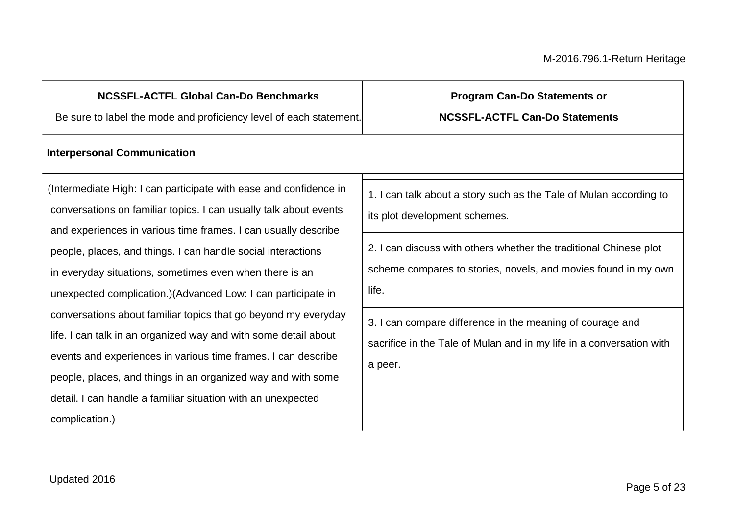### **NCSSFL-ACTFL Global Can-Do Benchmarks**

Be sure to label the mode and proficiency level of each statement.

## **Program Can-Do Statements or**

**NCSSFL-ACTFL Can-Do Statements**

#### **Interpersonal Communication**

(Intermediate High: I can participate with ease and confidence in conversations on familiar topics. I can usually talk about events and experiences in various time frames. I can usually describe people, places, and things. I can handle social interactions in everyday situations, sometimes even when there is an unexpected complication.)(Advanced Low: I can participate in conversations about familiar topics that go beyond my everyday life. I can talk in an organized way and with some detail about events and experiences in various time frames. I can describe people, places, and things in an organized way and with some detail. I can handle a familiar situation with an unexpected complication.)

1. I can talk about a story such as the Tale of Mulan according to its plot development schemes.

2. I can discuss with others whether the traditional Chinese plot scheme compares to stories, novels, and movies found in my own life.

3. I can compare difference in the meaning of courage and sacrifice in the Tale of Mulan and in my life in a conversation with a peer.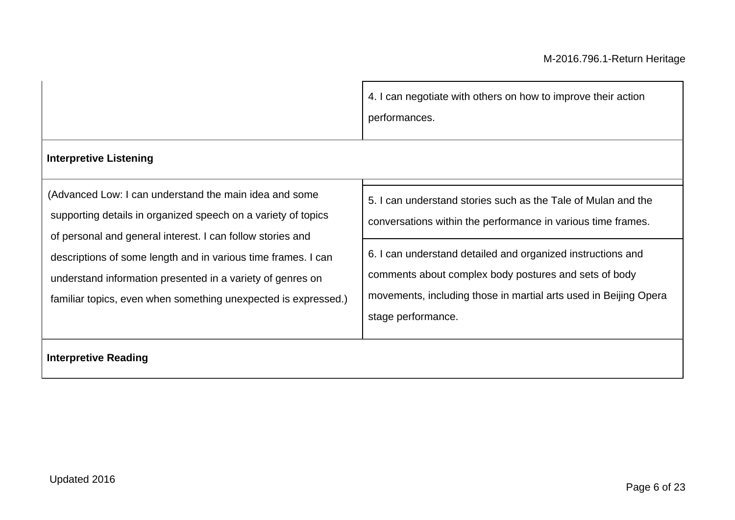4. I can negotiate with others on how to improve their action performances.

### **Interpretive Listening**

(Advanced Low: I can understand the main idea and some supporting details in organized speech on a variety of topics of personal and general interest. I can follow stories and descriptions of some length and in various time frames. I can understand information presented in a variety of genres on familiar topics, even when something unexpected is expressed.)

5. I can understand stories such as the Tale of Mulan and the

conversations within the performance in various time frames.

6. I can understand detailed and organized instructions and comments about complex body postures and sets of body movements, including those in martial arts used in Beijing Opera stage performance.

**Interpretive Reading**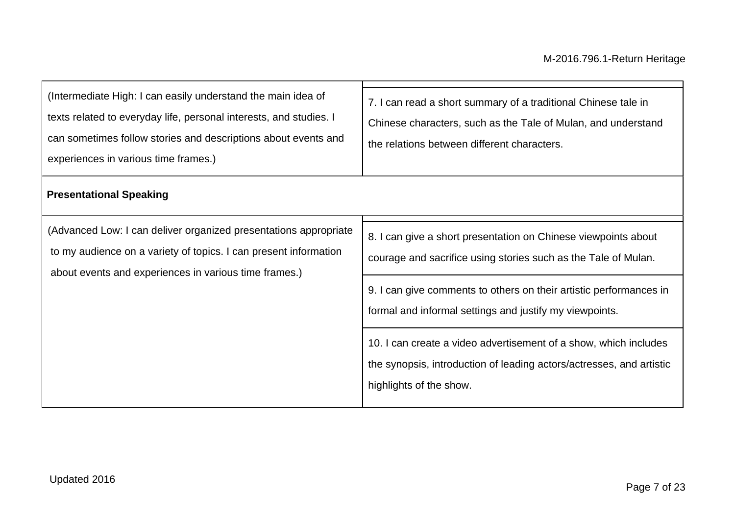| (Intermediate High: I can easily understand the main idea of<br>texts related to everyday life, personal interests, and studies. I<br>can sometimes follow stories and descriptions about events and<br>experiences in various time frames.) | 7. I can read a short summary of a traditional Chinese tale in<br>Chinese characters, such as the Tale of Mulan, and understand<br>the relations between different characters.                                                                                    |
|----------------------------------------------------------------------------------------------------------------------------------------------------------------------------------------------------------------------------------------------|-------------------------------------------------------------------------------------------------------------------------------------------------------------------------------------------------------------------------------------------------------------------|
| <b>Presentational Speaking</b>                                                                                                                                                                                                               |                                                                                                                                                                                                                                                                   |
| (Advanced Low: I can deliver organized presentations appropriate<br>to my audience on a variety of topics. I can present information<br>about events and experiences in various time frames.)                                                | 8. I can give a short presentation on Chinese viewpoints about<br>courage and sacrifice using stories such as the Tale of Mulan.<br>9. I can give comments to others on their artistic performances in<br>formal and informal settings and justify my viewpoints. |
|                                                                                                                                                                                                                                              | 10. I can create a video advertisement of a show, which includes<br>the synopsis, introduction of leading actors/actresses, and artistic<br>highlights of the show.                                                                                               |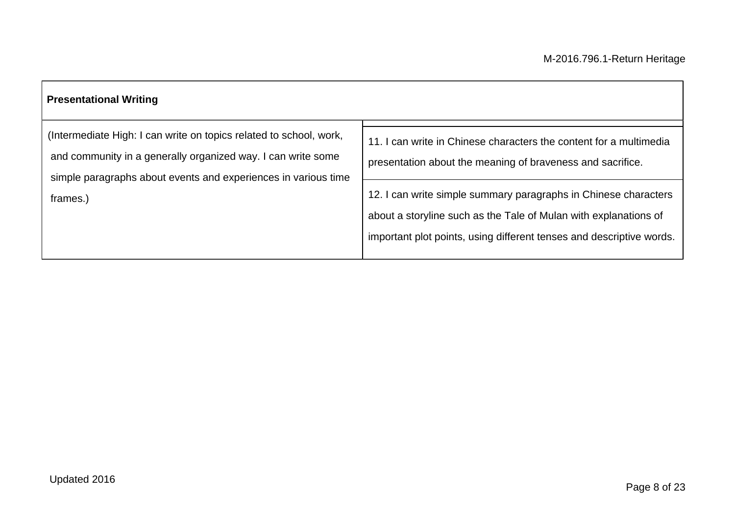| <b>Presentational Writing</b>                                                                                                                                                                        |                                                                                                                                                                                                             |
|------------------------------------------------------------------------------------------------------------------------------------------------------------------------------------------------------|-------------------------------------------------------------------------------------------------------------------------------------------------------------------------------------------------------------|
| (Intermediate High: I can write on topics related to school, work,<br>and community in a generally organized way. I can write some<br>simple paragraphs about events and experiences in various time | 11. I can write in Chinese characters the content for a multimedia<br>presentation about the meaning of braveness and sacrifice.                                                                            |
| frames.)                                                                                                                                                                                             | 12. I can write simple summary paragraphs in Chinese characters<br>about a storyline such as the Tale of Mulan with explanations of<br>important plot points, using different tenses and descriptive words. |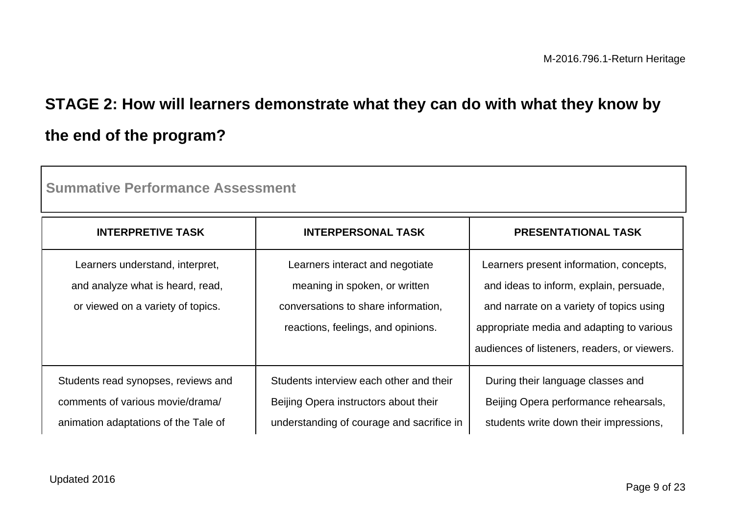# **STAGE 2: How will learners demonstrate what they can do with what they know by the end of the program?**

| <b>INTERPRETIVE TASK</b>                                                                                        | <b>INTERPERSONAL TASK</b>                                                                                                                     | <b>PRESENTATIONAL TASK</b>                                                                                                                                                                                                  |  |
|-----------------------------------------------------------------------------------------------------------------|-----------------------------------------------------------------------------------------------------------------------------------------------|-----------------------------------------------------------------------------------------------------------------------------------------------------------------------------------------------------------------------------|--|
| Learners understand, interpret,<br>and analyze what is heard, read,<br>or viewed on a variety of topics.        | Learners interact and negotiate<br>meaning in spoken, or written<br>conversations to share information,<br>reactions, feelings, and opinions. | Learners present information, concepts,<br>and ideas to inform, explain, persuade,<br>and narrate on a variety of topics using<br>appropriate media and adapting to various<br>audiences of listeners, readers, or viewers. |  |
| Students read synopses, reviews and<br>comments of various movie/drama/<br>animation adaptations of the Tale of | Students interview each other and their<br>Beijing Opera instructors about their<br>understanding of courage and sacrifice in                 | During their language classes and<br>Beijing Opera performance rehearsals,<br>students write down their impressions,                                                                                                        |  |

**Summative Performance Assessment**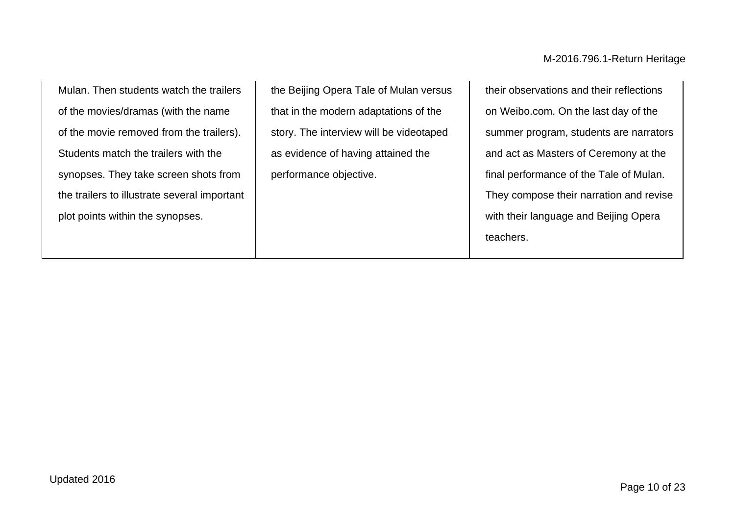Mulan. Then students watch the trailers of the movies/dramas (with the name of the movie removed from the trailers). Students match the trailers with the synopses. They take screen shots from the trailers to illustrate several important plot points within the synopses.

the Beijing Opera Tale of Mulan versus that in the modern adaptations of the story. The interview will be videotaped as evidence of having attained the performance objective.

their observations and their reflections on Weibo.com. On the last day of the summer program, students are narrators and act as Masters of Ceremony at the final performance of the Tale of Mulan. They compose their narration and revise with their language and Beijing Opera teachers.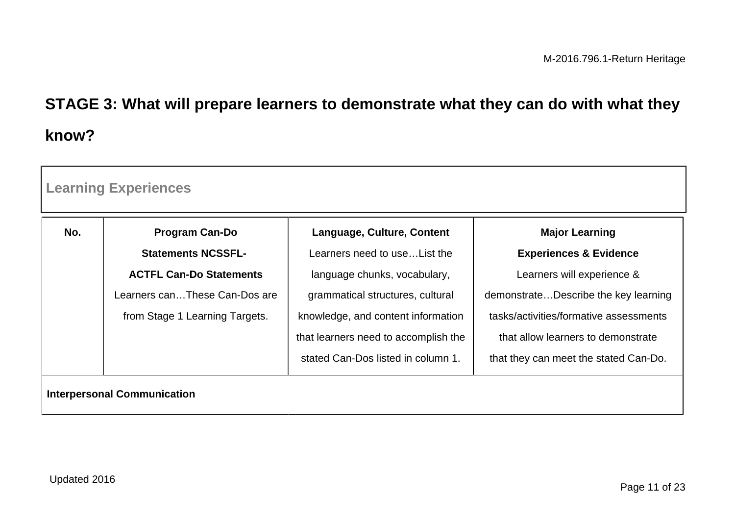# **STAGE 3: What will prepare learners to demonstrate what they can do with what they know?**

| <b>Learning Experiences</b>        |                                |                                      |                                        |
|------------------------------------|--------------------------------|--------------------------------------|----------------------------------------|
| No.                                | <b>Program Can-Do</b>          | Language, Culture, Content           | <b>Major Learning</b>                  |
|                                    | <b>Statements NCSSFL-</b>      | Learners need to use List the        | <b>Experiences &amp; Evidence</b>      |
|                                    | <b>ACTFL Can-Do Statements</b> | language chunks, vocabulary,         | Learners will experience &             |
|                                    | Learners canThese Can-Dos are  | grammatical structures, cultural     | demonstrateDescribe the key learning   |
|                                    | from Stage 1 Learning Targets. | knowledge, and content information   | tasks/activities/formative assessments |
|                                    |                                | that learners need to accomplish the | that allow learners to demonstrate     |
|                                    |                                | stated Can-Dos listed in column 1.   | that they can meet the stated Can-Do.  |
| <b>Interpersonal Communication</b> |                                |                                      |                                        |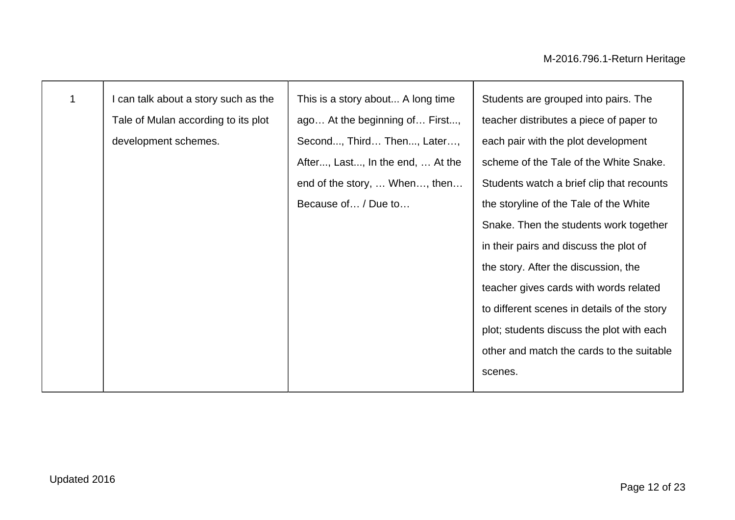| $\mathbf 1$ | I can talk about a story such as the | This is a story about A long time | Students are grouped into pairs. The        |
|-------------|--------------------------------------|-----------------------------------|---------------------------------------------|
|             | Tale of Mulan according to its plot  | ago At the beginning of First,    | teacher distributes a piece of paper to     |
|             | development schemes.                 | Second, Third Then, Later,        | each pair with the plot development         |
|             |                                      | After, Last, In the end,  At the  | scheme of the Tale of the White Snake.      |
|             |                                      | end of the story,  When, then     | Students watch a brief clip that recounts   |
|             |                                      | Because of / Due to               | the storyline of the Tale of the White      |
|             |                                      |                                   | Snake. Then the students work together      |
|             |                                      |                                   | in their pairs and discuss the plot of      |
|             |                                      |                                   | the story. After the discussion, the        |
|             |                                      |                                   | teacher gives cards with words related      |
|             |                                      |                                   | to different scenes in details of the story |
|             |                                      |                                   | plot; students discuss the plot with each   |
|             |                                      |                                   | other and match the cards to the suitable   |
|             |                                      |                                   | scenes.                                     |
|             |                                      |                                   |                                             |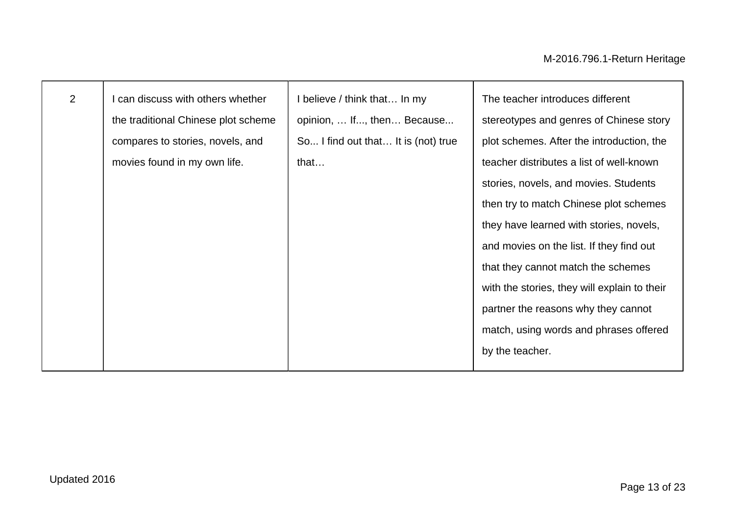| 2 | can discuss with others whether     | I believe / think that In my        | The teacher introduces different             |
|---|-------------------------------------|-------------------------------------|----------------------------------------------|
|   | the traditional Chinese plot scheme | opinion,  If, then Because          | stereotypes and genres of Chinese story      |
|   | compares to stories, novels, and    | So I find out that It is (not) true | plot schemes. After the introduction, the    |
|   | movies found in my own life.        | that                                | teacher distributes a list of well-known     |
|   |                                     |                                     | stories, novels, and movies. Students        |
|   |                                     |                                     | then try to match Chinese plot schemes       |
|   |                                     |                                     | they have learned with stories, novels,      |
|   |                                     |                                     | and movies on the list. If they find out     |
|   |                                     |                                     | that they cannot match the schemes           |
|   |                                     |                                     | with the stories, they will explain to their |
|   |                                     |                                     | partner the reasons why they cannot          |
|   |                                     |                                     | match, using words and phrases offered       |
|   |                                     |                                     | by the teacher.                              |
|   |                                     |                                     |                                              |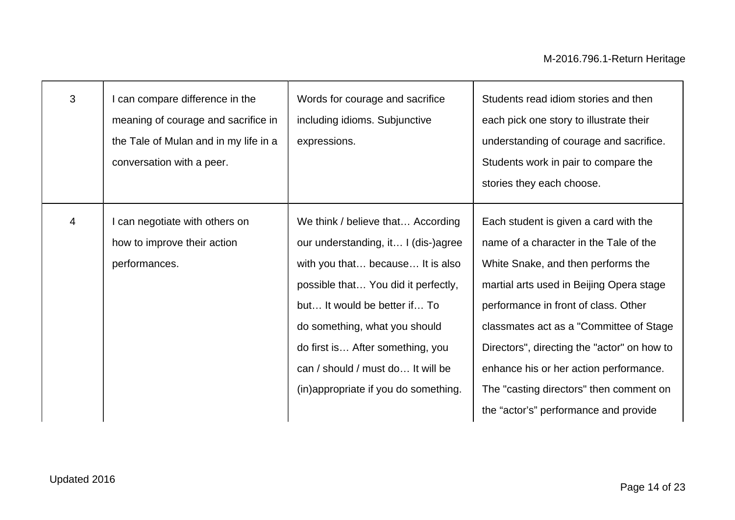| 3                        | can compare difference in the<br>meaning of courage and sacrifice in<br>the Tale of Mulan and in my life in a<br>conversation with a peer. | Words for courage and sacrifice<br>including idioms. Subjunctive<br>expressions.                                                                                                                                                                                                                                                      | Students read idiom stories and then<br>each pick one story to illustrate their<br>understanding of courage and sacrifice.<br>Students work in pair to compare the<br>stories they each choose.                                                                                                                                                                                                                                    |
|--------------------------|--------------------------------------------------------------------------------------------------------------------------------------------|---------------------------------------------------------------------------------------------------------------------------------------------------------------------------------------------------------------------------------------------------------------------------------------------------------------------------------------|------------------------------------------------------------------------------------------------------------------------------------------------------------------------------------------------------------------------------------------------------------------------------------------------------------------------------------------------------------------------------------------------------------------------------------|
| $\overline{\mathcal{A}}$ | can negotiate with others on<br>how to improve their action<br>performances.                                                               | We think / believe that According<br>our understanding, it I (dis-)agree<br>with you that because It is also<br>possible that You did it perfectly,<br>but It would be better if To<br>do something, what you should<br>do first is After something, you<br>can / should / must do It will be<br>(in)appropriate if you do something. | Each student is given a card with the<br>name of a character in the Tale of the<br>White Snake, and then performs the<br>martial arts used in Beijing Opera stage<br>performance in front of class. Other<br>classmates act as a "Committee of Stage"<br>Directors", directing the "actor" on how to<br>enhance his or her action performance.<br>The "casting directors" then comment on<br>the "actor's" performance and provide |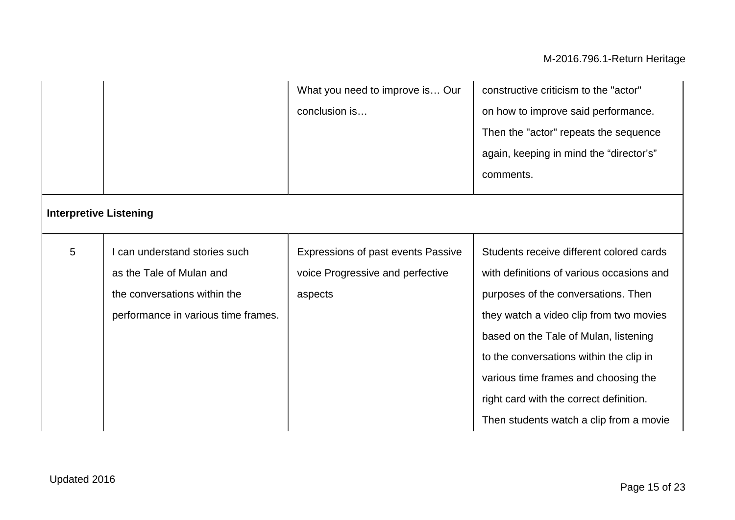## M-2016.796.1-Return Heritage

|                               |                                                                                                                                | What you need to improve is Our<br>conclusion is                                  | constructive criticism to the "actor"<br>on how to improve said performance.<br>Then the "actor" repeats the sequence<br>again, keeping in mind the "director's"<br>comments.                                                                                                                                                                                                             |
|-------------------------------|--------------------------------------------------------------------------------------------------------------------------------|-----------------------------------------------------------------------------------|-------------------------------------------------------------------------------------------------------------------------------------------------------------------------------------------------------------------------------------------------------------------------------------------------------------------------------------------------------------------------------------------|
| <b>Interpretive Listening</b> |                                                                                                                                |                                                                                   |                                                                                                                                                                                                                                                                                                                                                                                           |
| 5                             | can understand stories such<br>as the Tale of Mulan and<br>the conversations within the<br>performance in various time frames. | Expressions of past events Passive<br>voice Progressive and perfective<br>aspects | Students receive different colored cards<br>with definitions of various occasions and<br>purposes of the conversations. Then<br>they watch a video clip from two movies<br>based on the Tale of Mulan, listening<br>to the conversations within the clip in<br>various time frames and choosing the<br>right card with the correct definition.<br>Then students watch a clip from a movie |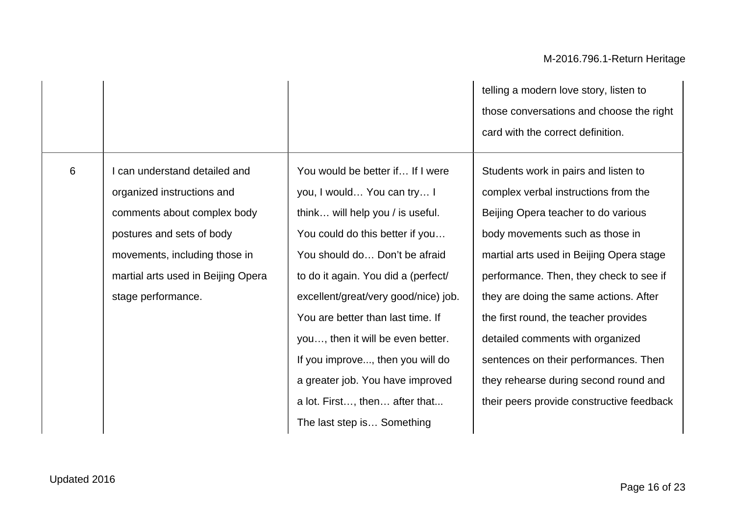6 I can understand detailed and organized instructions and comments about complex body postures and sets of body movements, including those in martial arts used in Beijing Opera stage performance.

You would be better if… If I were you, I would… You can try… I think… will help you / is useful. You could do this better if you… You should do… Don't be afraid to do it again. You did a (perfect/ excellent/great/very good/nice) job. You are better than last time. If you…, then it will be even better. If you improve..., then you will do a greater job. You have improved a lot. First…, then… after that... The last step is… Something

telling a modern love story, listen to those conversations and choose the right card with the correct definition.

Students work in pairs and listen to complex verbal instructions from the Beijing Opera teacher to do various body movements such as those in martial arts used in Beijing Opera stage performance. Then, they check to see if they are doing the same actions. After the first round, the teacher provides detailed comments with organized sentences on their performances. Then they rehearse during second round and their peers provide constructive feedback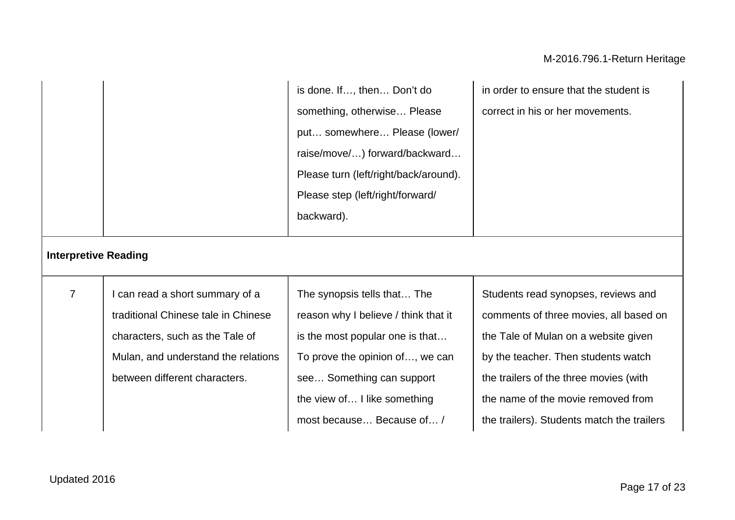|                             |                                                                                                                                                                                   | is done. If, then Don't do<br>something, otherwise Please<br>put somewhere Please (lower/<br>raise/move/) forward/backward<br>Please turn (left/right/back/around).<br>Please step (left/right/forward/<br>backward).               | in order to ensure that the student is<br>correct in his or her movements.                                                                                                                                                                                                                 |
|-----------------------------|-----------------------------------------------------------------------------------------------------------------------------------------------------------------------------------|-------------------------------------------------------------------------------------------------------------------------------------------------------------------------------------------------------------------------------------|--------------------------------------------------------------------------------------------------------------------------------------------------------------------------------------------------------------------------------------------------------------------------------------------|
| <b>Interpretive Reading</b> |                                                                                                                                                                                   |                                                                                                                                                                                                                                     |                                                                                                                                                                                                                                                                                            |
| $\overline{7}$              | I can read a short summary of a<br>traditional Chinese tale in Chinese<br>characters, such as the Tale of<br>Mulan, and understand the relations<br>between different characters. | The synopsis tells that The<br>reason why I believe / think that it<br>is the most popular one is that<br>To prove the opinion of, we can<br>see Something can support<br>the view of I like something<br>most because Because of / | Students read synopses, reviews and<br>comments of three movies, all based on<br>the Tale of Mulan on a website given<br>by the teacher. Then students watch<br>the trailers of the three movies (with<br>the name of the movie removed from<br>the trailers). Students match the trailers |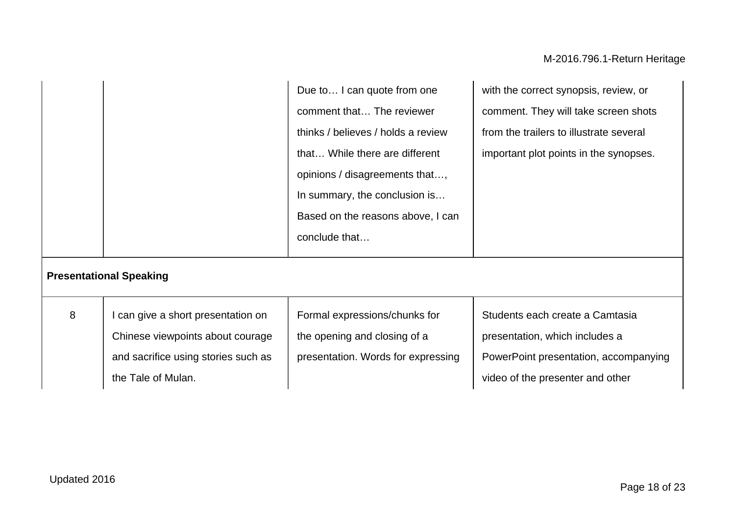|   |                                                                                                                                     | Due to I can quote from one<br>comment that The reviewer<br>thinks / believes / holds a review<br>that While there are different<br>opinions / disagreements that,<br>In summary, the conclusion is<br>Based on the reasons above, I can | with the correct synopsis, review, or<br>comment. They will take screen shots<br>from the trailers to illustrate several<br>important plot points in the synopses. |
|---|-------------------------------------------------------------------------------------------------------------------------------------|------------------------------------------------------------------------------------------------------------------------------------------------------------------------------------------------------------------------------------------|--------------------------------------------------------------------------------------------------------------------------------------------------------------------|
|   | <b>Presentational Speaking</b>                                                                                                      | conclude that                                                                                                                                                                                                                            |                                                                                                                                                                    |
| 8 | I can give a short presentation on<br>Chinese viewpoints about courage<br>and sacrifice using stories such as<br>the Tale of Mulan. | Formal expressions/chunks for<br>the opening and closing of a<br>presentation. Words for expressing                                                                                                                                      | Students each create a Camtasia<br>presentation, which includes a<br>PowerPoint presentation, accompanying<br>video of the presenter and other                     |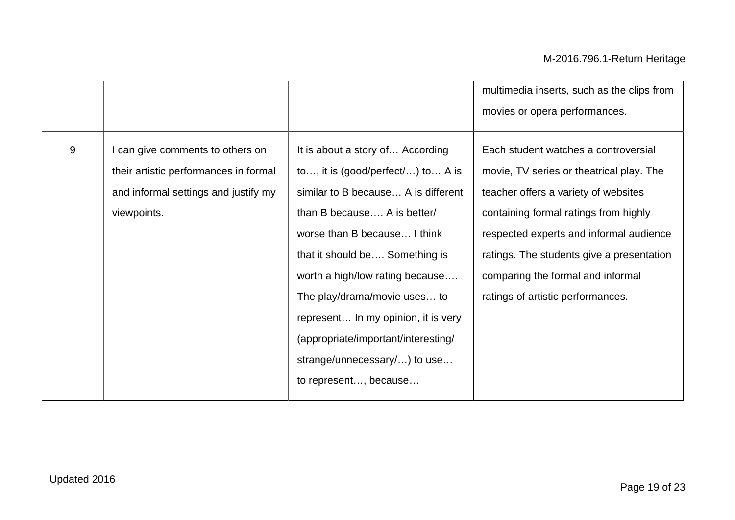|       |                                                                                                                                |                                                                                                                                                                                                                                                                                                                                                                                                                         | multimedia inserts, such as the clips from<br>movies or opera performances.                                                                                                                                                                                                                                                         |
|-------|--------------------------------------------------------------------------------------------------------------------------------|-------------------------------------------------------------------------------------------------------------------------------------------------------------------------------------------------------------------------------------------------------------------------------------------------------------------------------------------------------------------------------------------------------------------------|-------------------------------------------------------------------------------------------------------------------------------------------------------------------------------------------------------------------------------------------------------------------------------------------------------------------------------------|
| $9\,$ | can give comments to others on<br>their artistic performances in formal<br>and informal settings and justify my<br>viewpoints. | It is about a story of According<br>to, it is (good/perfect/) to A is<br>similar to B because A is different<br>than B because A is better/<br>worse than B because I think<br>that it should be Something is<br>worth a high/low rating because<br>The play/drama/movie uses to<br>represent In my opinion, it is very<br>(appropriate/important/interesting/<br>strange/unnecessary/) to use<br>to represent, because | Each student watches a controversial<br>movie, TV series or theatrical play. The<br>teacher offers a variety of websites<br>containing formal ratings from highly<br>respected experts and informal audience<br>ratings. The students give a presentation<br>comparing the formal and informal<br>ratings of artistic performances. |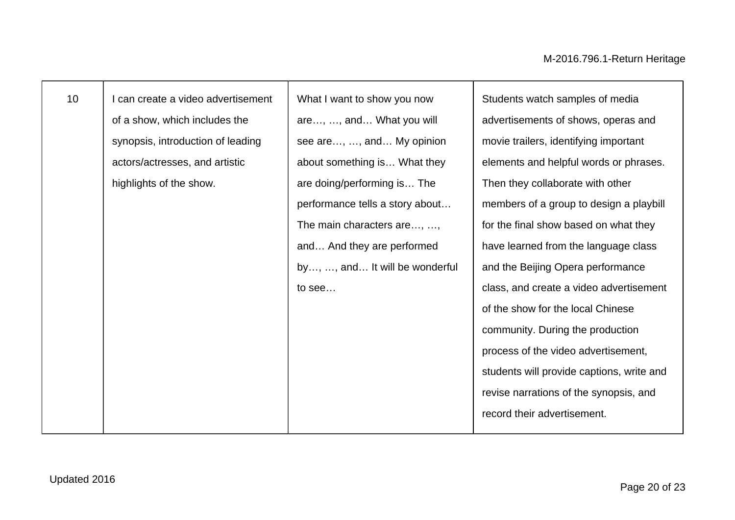┬

| 10 | can create a video advertisement  | What I want to show you now     | Students watch samples of media           |
|----|-----------------------------------|---------------------------------|-------------------------------------------|
|    | of a show, which includes the     | are, , and What you will        | advertisements of shows, operas and       |
|    | synopsis, introduction of leading | see are, , and My opinion       | movie trailers, identifying important     |
|    | actors/actresses, and artistic    | about something is What they    | elements and helpful words or phrases.    |
|    | highlights of the show.           | are doing/performing is The     | Then they collaborate with other          |
|    |                                   | performance tells a story about | members of a group to design a playbill   |
|    |                                   | The main characters are, ,      | for the final show based on what they     |
|    |                                   | and And they are performed      | have learned from the language class      |
|    |                                   | by, , and It will be wonderful  | and the Beijing Opera performance         |
|    |                                   | to see                          | class, and create a video advertisement   |
|    |                                   |                                 | of the show for the local Chinese         |
|    |                                   |                                 | community. During the production          |
|    |                                   |                                 | process of the video advertisement,       |
|    |                                   |                                 | students will provide captions, write and |
|    |                                   |                                 | revise narrations of the synopsis, and    |
|    |                                   |                                 | record their advertisement.               |
|    |                                   |                                 |                                           |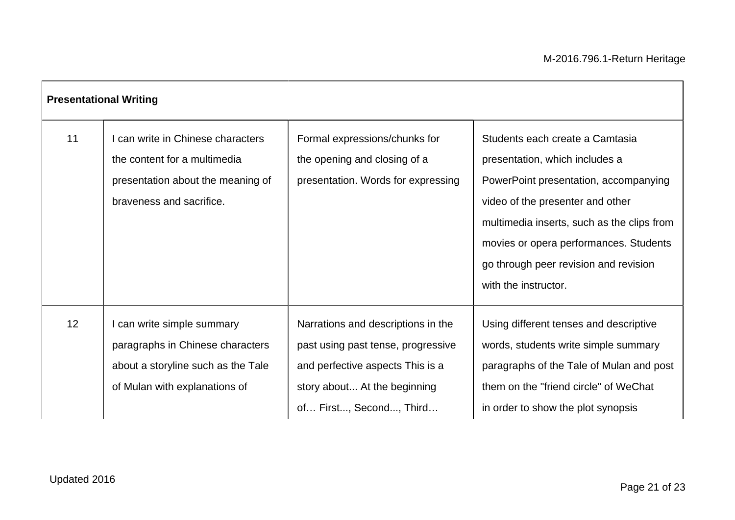| <b>Presentational Writing</b> |                                                                                                                                     |                                                                                                                                                                         |                                                                                                                                                                                                                                                                                                         |  |  |
|-------------------------------|-------------------------------------------------------------------------------------------------------------------------------------|-------------------------------------------------------------------------------------------------------------------------------------------------------------------------|---------------------------------------------------------------------------------------------------------------------------------------------------------------------------------------------------------------------------------------------------------------------------------------------------------|--|--|
| 11                            | can write in Chinese characters<br>the content for a multimedia<br>presentation about the meaning of<br>braveness and sacrifice.    | Formal expressions/chunks for<br>the opening and closing of a<br>presentation. Words for expressing                                                                     | Students each create a Camtasia<br>presentation, which includes a<br>PowerPoint presentation, accompanying<br>video of the presenter and other<br>multimedia inserts, such as the clips from<br>movies or opera performances. Students<br>go through peer revision and revision<br>with the instructor. |  |  |
| 12 <sup>2</sup>               | can write simple summary<br>paragraphs in Chinese characters<br>about a storyline such as the Tale<br>of Mulan with explanations of | Narrations and descriptions in the<br>past using past tense, progressive<br>and perfective aspects This is a<br>story about At the beginning<br>of First, Second, Third | Using different tenses and descriptive<br>words, students write simple summary<br>paragraphs of the Tale of Mulan and post<br>them on the "friend circle" of WeChat<br>in order to show the plot synopsis                                                                                               |  |  |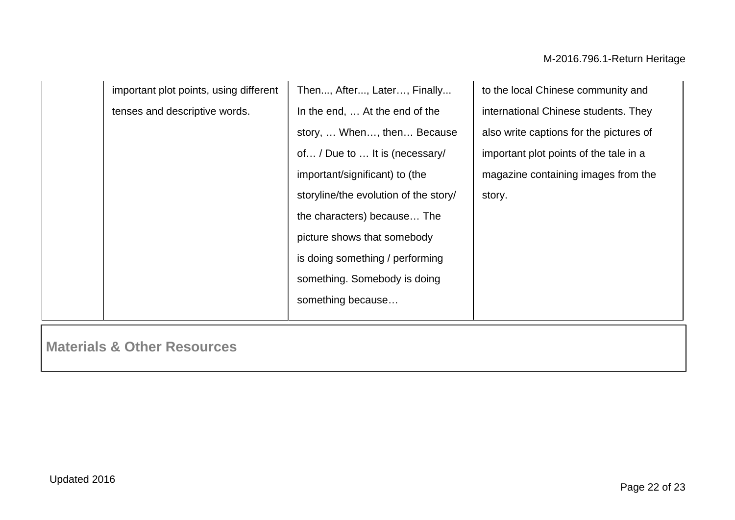| important plot points, using different | Then, After, Later, Finally           | to the local Chinese community and      |
|----------------------------------------|---------------------------------------|-----------------------------------------|
| tenses and descriptive words.          | In the end,  At the end of the        | international Chinese students. They    |
|                                        | story,  When, then Because            | also write captions for the pictures of |
|                                        | of / Due to  It is (necessary/        | important plot points of the tale in a  |
|                                        | important/significant) to (the        | magazine containing images from the     |
|                                        | storyline/the evolution of the story/ | story.                                  |
|                                        | the characters) because The           |                                         |
|                                        | picture shows that somebody           |                                         |
|                                        | is doing something / performing       |                                         |
|                                        | something. Somebody is doing          |                                         |
|                                        | something because                     |                                         |
|                                        |                                       |                                         |

**Materials & Other Resources**